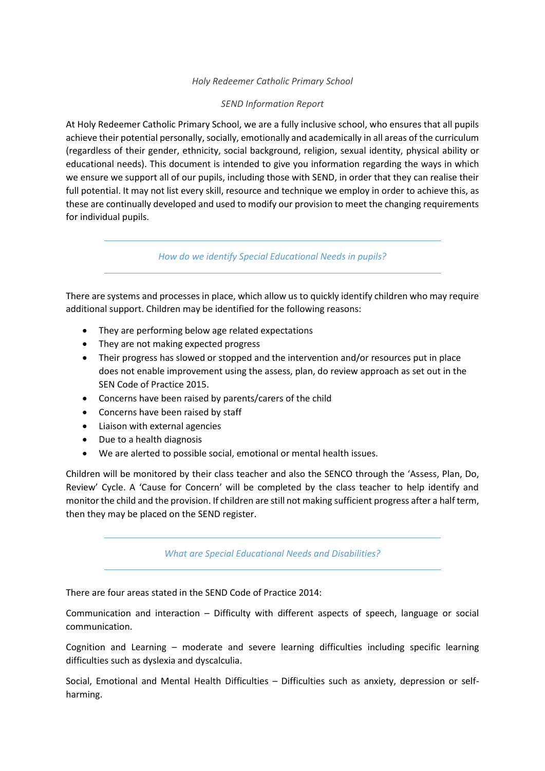### *Holy Redeemer Catholic Primary School*

## *SEND Information Report*

At Holy Redeemer Catholic Primary School, we are a fully inclusive school, who ensures that all pupils achieve their potential personally, socially, emotionally and academically in all areas of the curriculum (regardless of their gender, ethnicity, social background, religion, sexual identity, physical ability or educational needs). This document is intended to give you information regarding the ways in which we ensure we support all of our pupils, including those with SEND, in order that they can realise their full potential. It may not list every skill, resource and technique we employ in order to achieve this, as these are continually developed and used to modify our provision to meet the changing requirements for individual pupils.

*How do we identify Special Educational Needs in pupils?* 

There are systems and processes in place, which allow us to quickly identify children who may require additional support. Children may be identified for the following reasons:

- They are performing below age related expectations
- They are not making expected progress
- Their progress has slowed or stopped and the intervention and/or resources put in place does not enable improvement using the assess, plan, do review approach as set out in the SEN Code of Practice 2015.
- Concerns have been raised by parents/carers of the child
- Concerns have been raised by staff
- Liaison with external agencies
- Due to a health diagnosis
- We are alerted to possible social, emotional or mental health issues.

Children will be monitored by their class teacher and also the SENCO through the 'Assess, Plan, Do, Review' Cycle. A 'Cause for Concern' will be completed by the class teacher to help identify and monitor the child and the provision. If children are still not making sufficient progress after a half term, then they may be placed on the SEND register.

*What are Special Educational Needs and Disabilities?* 

There are four areas stated in the SEND Code of Practice 2014:

Communication and interaction – Difficulty with different aspects of speech, language or social communication.

Cognition and Learning – moderate and severe learning difficulties including specific learning difficulties such as dyslexia and dyscalculia.

Social, Emotional and Mental Health Difficulties – Difficulties such as anxiety, depression or selfharming.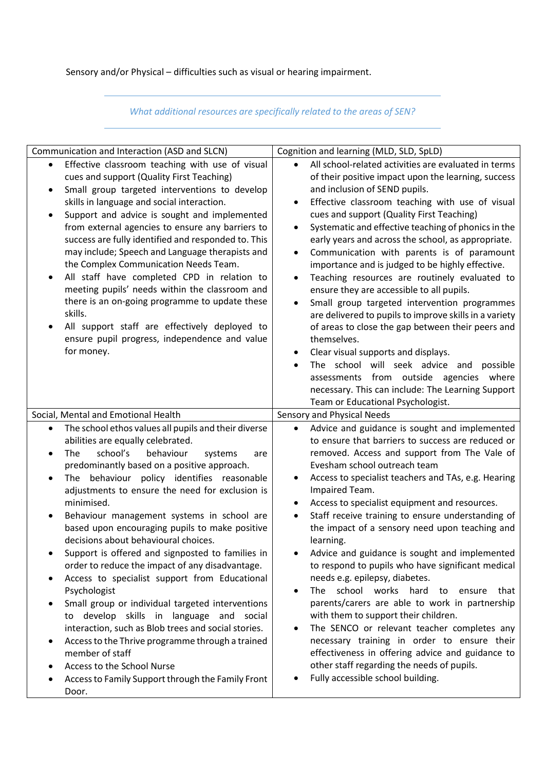# Sensory and/or Physical – difficulties such as visual or hearing impairment.

# *What additional resources are specifically related to the areas of SEN?*

| Communication and Interaction (ASD and SLCN)                                                                                                                                                                                                                                                                                                                                                                                                                                                                                                                                                                                                                                                                                                                                                                                                                                                                                                                                                                                   | Cognition and learning (MLD, SLD, SpLD)                                                                                                                                                                                                                                                                                                                                                                                                                                                                                                                                                                                                                                                                                                                                                                                                                                                                                                                                                              |
|--------------------------------------------------------------------------------------------------------------------------------------------------------------------------------------------------------------------------------------------------------------------------------------------------------------------------------------------------------------------------------------------------------------------------------------------------------------------------------------------------------------------------------------------------------------------------------------------------------------------------------------------------------------------------------------------------------------------------------------------------------------------------------------------------------------------------------------------------------------------------------------------------------------------------------------------------------------------------------------------------------------------------------|------------------------------------------------------------------------------------------------------------------------------------------------------------------------------------------------------------------------------------------------------------------------------------------------------------------------------------------------------------------------------------------------------------------------------------------------------------------------------------------------------------------------------------------------------------------------------------------------------------------------------------------------------------------------------------------------------------------------------------------------------------------------------------------------------------------------------------------------------------------------------------------------------------------------------------------------------------------------------------------------------|
| Effective classroom teaching with use of visual<br>$\bullet$<br>cues and support (Quality First Teaching)<br>Small group targeted interventions to develop<br>٠<br>skills in language and social interaction.<br>Support and advice is sought and implemented<br>$\bullet$<br>from external agencies to ensure any barriers to<br>success are fully identified and responded to. This<br>may include; Speech and Language therapists and<br>the Complex Communication Needs Team.<br>All staff have completed CPD in relation to<br>$\bullet$<br>meeting pupils' needs within the classroom and<br>there is an on-going programme to update these<br>skills.<br>All support staff are effectively deployed to<br>ensure pupil progress, independence and value<br>for money.                                                                                                                                                                                                                                                   | All school-related activities are evaluated in terms<br>of their positive impact upon the learning, success<br>and inclusion of SEND pupils.<br>Effective classroom teaching with use of visual<br>cues and support (Quality First Teaching)<br>Systematic and effective teaching of phonics in the<br>$\bullet$<br>early years and across the school, as appropriate.<br>Communication with parents is of paramount<br>٠<br>importance and is judged to be highly effective.<br>Teaching resources are routinely evaluated to<br>$\bullet$<br>ensure they are accessible to all pupils.<br>Small group targeted intervention programmes<br>$\bullet$<br>are delivered to pupils to improve skills in a variety<br>of areas to close the gap between their peers and<br>themselves.<br>Clear visual supports and displays.<br>The school will seek advice and possible<br>assessments from outside agencies where<br>necessary. This can include: The Learning Support                               |
|                                                                                                                                                                                                                                                                                                                                                                                                                                                                                                                                                                                                                                                                                                                                                                                                                                                                                                                                                                                                                                | Team or Educational Psychologist.                                                                                                                                                                                                                                                                                                                                                                                                                                                                                                                                                                                                                                                                                                                                                                                                                                                                                                                                                                    |
| Social, Mental and Emotional Health                                                                                                                                                                                                                                                                                                                                                                                                                                                                                                                                                                                                                                                                                                                                                                                                                                                                                                                                                                                            | Sensory and Physical Needs                                                                                                                                                                                                                                                                                                                                                                                                                                                                                                                                                                                                                                                                                                                                                                                                                                                                                                                                                                           |
| The school ethos values all pupils and their diverse<br>$\bullet$<br>abilities are equally celebrated.<br>school's<br>behaviour<br>The<br>systems<br>$\bullet$<br>are<br>predominantly based on a positive approach.<br>The behaviour policy identifies reasonable<br>$\bullet$<br>adjustments to ensure the need for exclusion is<br>minimised.<br>Behaviour management systems in school are<br>٠<br>based upon encouraging pupils to make positive<br>decisions about behavioural choices.<br>Support is offered and signposted to families in<br>order to reduce the impact of any disadvantage.<br>Access to specialist support from Educational<br>٠<br>Psychologist<br>Small group or individual targeted interventions<br>$\bullet$<br>develop skills in language and social<br>to<br>interaction, such as Blob trees and social stories.<br>Access to the Thrive programme through a trained<br>٠<br>member of staff<br>Access to the School Nurse<br>٠<br>Access to Family Support through the Family Front<br>Door. | Advice and guidance is sought and implemented<br>$\bullet$<br>to ensure that barriers to success are reduced or<br>removed. Access and support from The Vale of<br>Evesham school outreach team<br>Access to specialist teachers and TAs, e.g. Hearing<br>Impaired Team.<br>Access to specialist equipment and resources.<br>Staff receive training to ensure understanding of<br>٠<br>the impact of a sensory need upon teaching and<br>learning.<br>Advice and guidance is sought and implemented<br>to respond to pupils who have significant medical<br>needs e.g. epilepsy, diabetes.<br>The school works hard<br>to<br>ensure<br>that<br>$\bullet$<br>parents/carers are able to work in partnership<br>with them to support their children.<br>The SENCO or relevant teacher completes any<br>$\bullet$<br>necessary training in order to ensure their<br>effectiveness in offering advice and guidance to<br>other staff regarding the needs of pupils.<br>Fully accessible school building. |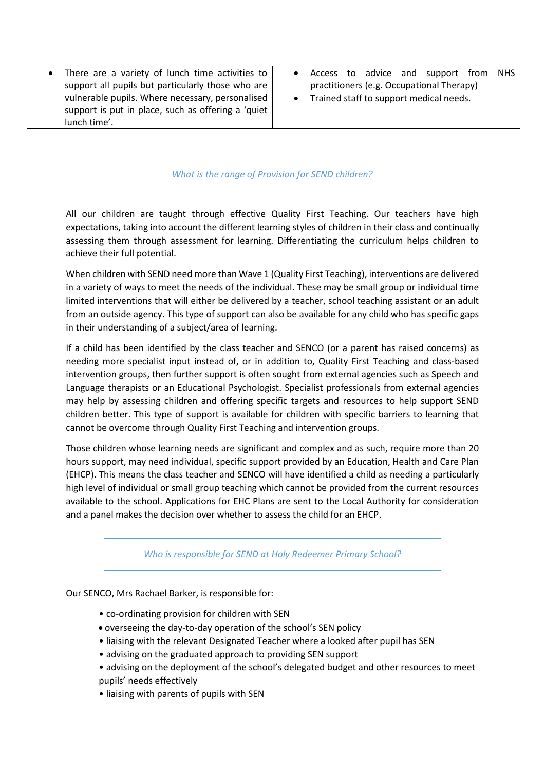- There are a variety of lunch time activities to support all pupils but particularly those who are vulnerable pupils. Where necessary, personalised support is put in place, such as offering a 'quiet lunch time'.
- Access to advice and support from NHS practitioners (e.g. Occupational Therapy)
- Trained staff to support medical needs.

*What is the range of Provision for SEND children?* 

All our children are taught through effective Quality First Teaching. Our teachers have high expectations, taking into account the different learning styles of children in their class and continually assessing them through assessment for learning. Differentiating the curriculum helps children to achieve their full potential.

When children with SEND need more than Wave 1 (Quality First Teaching), interventions are delivered in a variety of ways to meet the needs of the individual. These may be small group or individual time limited interventions that will either be delivered by a teacher, school teaching assistant or an adult from an outside agency. This type of support can also be available for any child who has specific gaps in their understanding of a subject/area of learning.

If a child has been identified by the class teacher and SENCO (or a parent has raised concerns) as needing more specialist input instead of, or in addition to, Quality First Teaching and class-based intervention groups, then further support is often sought from external agencies such as Speech and Language therapists or an Educational Psychologist. Specialist professionals from external agencies may help by assessing children and offering specific targets and resources to help support SEND children better. This type of support is available for children with specific barriers to learning that cannot be overcome through Quality First Teaching and intervention groups.

Those children whose learning needs are significant and complex and as such, require more than 20 hours support, may need individual, specific support provided by an Education, Health and Care Plan (EHCP). This means the class teacher and SENCO will have identified a child as needing a particularly high level of individual or small group teaching which cannot be provided from the current resources available to the school. Applications for EHC Plans are sent to the Local Authority for consideration and a panel makes the decision over whether to assess the child for an EHCP.

*Who is responsible for SEND at Holy Redeemer Primary School?* 

Our SENCO, Mrs Rachael Barker, is responsible for:

- co-ordinating provision for children with SEN
- overseeing the day-to-day operation of the school's SEN policy
- liaising with the relevant Designated Teacher where a looked after pupil has SEN
- advising on the graduated approach to providing SEN support
- advising on the deployment of the school's delegated budget and other resources to meet pupils' needs effectively
- liaising with parents of pupils with SEN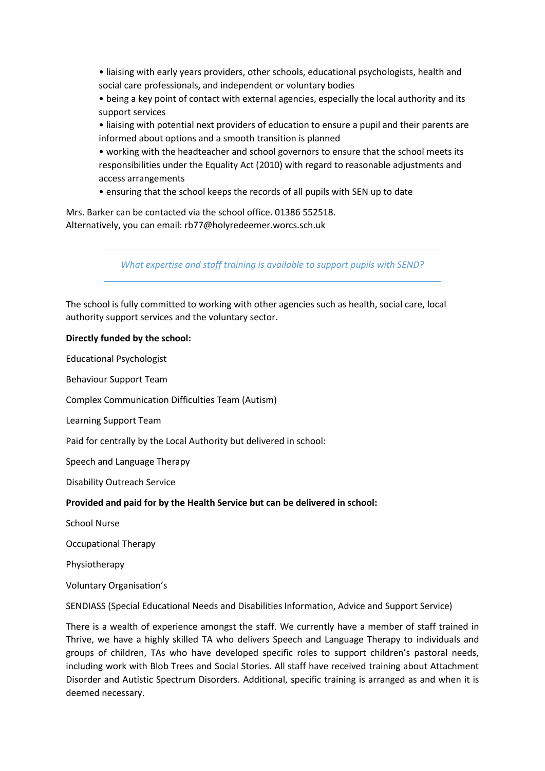• liaising with early years providers, other schools, educational psychologists, health and social care professionals, and independent or voluntary bodies

• being a key point of contact with external agencies, especially the local authority and its support services

• liaising with potential next providers of education to ensure a pupil and their parents are informed about options and a smooth transition is planned

• working with the headteacher and school governors to ensure that the school meets its responsibilities under the Equality Act (2010) with regard to reasonable adjustments and access arrangements

• ensuring that the school keeps the records of all pupils with SEN up to date

Mrs. Barker can be contacted via the school office. 01386 552518. Alternatively, you can email: rb77@holyredeemer.worcs.sch.uk

*What expertise and staff training is available to support pupils with SEND?*

The school is fully committed to working with other agencies such as health, social care, local authority support services and the voluntary sector.

#### **Directly funded by the school:**

Educational Psychologist

Behaviour Support Team

Complex Communication Difficulties Team (Autism)

Learning Support Team

Paid for centrally by the Local Authority but delivered in school:

Speech and Language Therapy

Disability Outreach Service

#### **Provided and paid for by the Health Service but can be delivered in school:**

School Nurse

Occupational Therapy

Physiotherapy

Voluntary Organisation's

SENDIASS (Special Educational Needs and Disabilities Information, Advice and Support Service)

There is a wealth of experience amongst the staff. We currently have a member of staff trained in Thrive, we have a highly skilled TA who delivers Speech and Language Therapy to individuals and groups of children, TAs who have developed specific roles to support children's pastoral needs, including work with Blob Trees and Social Stories. All staff have received training about Attachment Disorder and Autistic Spectrum Disorders. Additional, specific training is arranged as and when it is deemed necessary.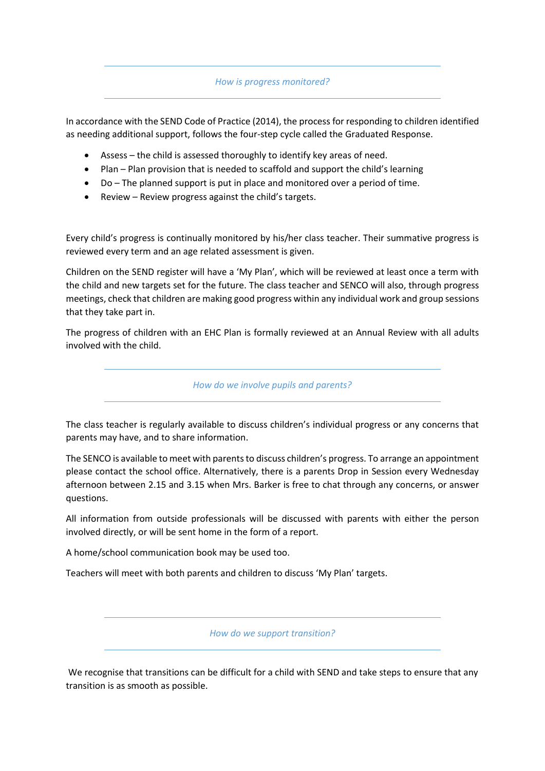### *How is progress monitored?*

In accordance with the SEND Code of Practice (2014), the process for responding to children identified as needing additional support, follows the four-step cycle called the Graduated Response.

- Assess the child is assessed thoroughly to identify key areas of need.
- Plan Plan provision that is needed to scaffold and support the child's learning
- Do The planned support is put in place and monitored over a period of time.
- Review Review progress against the child's targets.

Every child's progress is continually monitored by his/her class teacher. Their summative progress is reviewed every term and an age related assessment is given.

Children on the SEND register will have a 'My Plan', which will be reviewed at least once a term with the child and new targets set for the future. The class teacher and SENCO will also, through progress meetings, check that children are making good progress within any individual work and group sessions that they take part in.

The progress of children with an EHC Plan is formally reviewed at an Annual Review with all adults involved with the child.

*How do we involve pupils and parents?* 

The class teacher is regularly available to discuss children's individual progress or any concerns that parents may have, and to share information.

The SENCO is available to meet with parents to discuss children's progress. To arrange an appointment please contact the school office. Alternatively, there is a parents Drop in Session every Wednesday afternoon between 2.15 and 3.15 when Mrs. Barker is free to chat through any concerns, or answer questions.

All information from outside professionals will be discussed with parents with either the person involved directly, or will be sent home in the form of a report.

A home/school communication book may be used too.

Teachers will meet with both parents and children to discuss 'My Plan' targets.

*How do we support transition?* 

We recognise that transitions can be difficult for a child with SEND and take steps to ensure that any transition is as smooth as possible.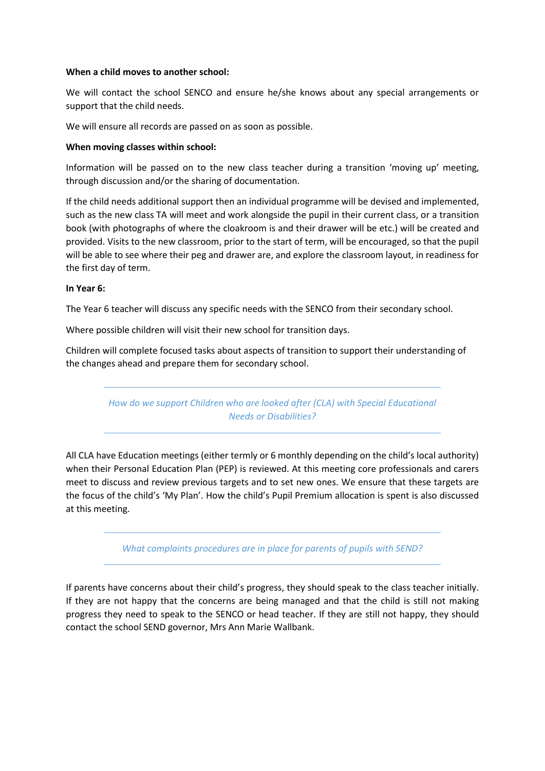#### **When a child moves to another school:**

We will contact the school SENCO and ensure he/she knows about any special arrangements or support that the child needs.

We will ensure all records are passed on as soon as possible.

#### **When moving classes within school:**

Information will be passed on to the new class teacher during a transition 'moving up' meeting, through discussion and/or the sharing of documentation.

If the child needs additional support then an individual programme will be devised and implemented, such as the new class TA will meet and work alongside the pupil in their current class, or a transition book (with photographs of where the cloakroom is and their drawer will be etc.) will be created and provided. Visits to the new classroom, prior to the start of term, will be encouraged, so that the pupil will be able to see where their peg and drawer are, and explore the classroom layout, in readiness for the first day of term.

#### **In Year 6:**

The Year 6 teacher will discuss any specific needs with the SENCO from their secondary school.

Where possible children will visit their new school for transition days.

Children will complete focused tasks about aspects of transition to support their understanding of the changes ahead and prepare them for secondary school.

> *How do we support Children who are looked after (CLA) with Special Educational Needs or Disabilities?*

All CLA have Education meetings (either termly or 6 monthly depending on the child's local authority) when their Personal Education Plan (PEP) is reviewed. At this meeting core professionals and carers meet to discuss and review previous targets and to set new ones. We ensure that these targets are the focus of the child's 'My Plan'. How the child's Pupil Premium allocation is spent is also discussed at this meeting.

*What complaints procedures are in place for parents of pupils with SEND?*

If parents have concerns about their child's progress, they should speak to the class teacher initially. If they are not happy that the concerns are being managed and that the child is still not making progress they need to speak to the SENCO or head teacher. If they are still not happy, they should contact the school SEND governor, Mrs Ann Marie Wallbank.